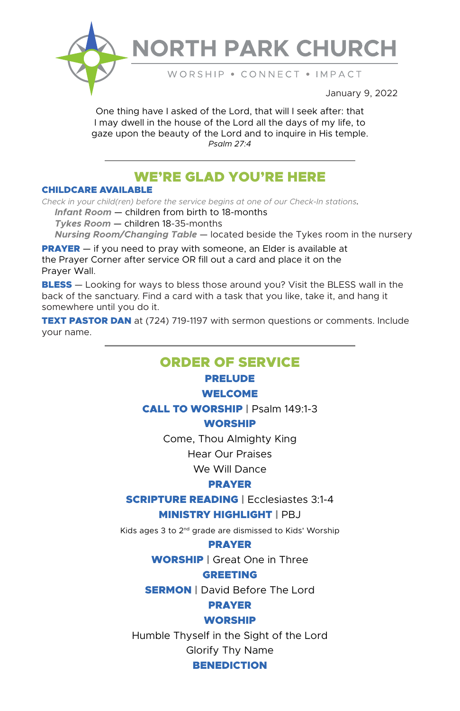

# **NORTH PARK CHURCH**

WORSHIP . CONNECT . IMPACT

January 9, 2022

One thing have I asked of the Lord, that will I seek after: that I may dwell in the house of the Lord all the days of my life, to gaze upon the beauty of the Lord and to inquire in His temple. *Psalm 27:4*

# WE'RE GLAD YOU'RE HERE

#### CHILDCARE AVAILABLE

*Check in your child(ren) before the service begins at one of our Check-In stations.*

 *Infant Room* — children from birth to 18-months

 *Tykes Room* — children 18-35-months

 *Nursing Room/Changing Table* — located beside the Tykes room in the nursery

**PRAYER** – if you need to pray with someone, an Elder is available at the Prayer Corner after service OR fill out a card and place it on the Prayer Wall.

**BLESS** — Looking for ways to bless those around you? Visit the BLESS wall in the back of the sanctuary. Find a card with a task that you like, take it, and hang it somewhere until you do it.

**TEXT PASTOR DAN** at (724) 719-1197 with sermon questions or comments. Include your name.

### ORDER OF SERVICE

### PRELUDE

#### WELCOME

CALL TO WORSHIP | Psalm 149:1-3

#### WORSHIP

Come, Thou Almighty King

Hear Our Praises

We Will Dance

#### PRAYER

#### SCRIPTURE READING | Ecclesiastes 3:1-4

#### MINISTRY HIGHLIGHT | PBJ

Kids ages 3 to 2nd grade are dismissed to Kids' Worship

#### PRAYER

WORSHIP | Great One in Three

#### GREETING

**SERMON** | David Before The Lord

## PRAYER

#### WORSHIP

Humble Thyself in the Sight of the Lord

Glorify Thy Name

#### **BENEDICTION**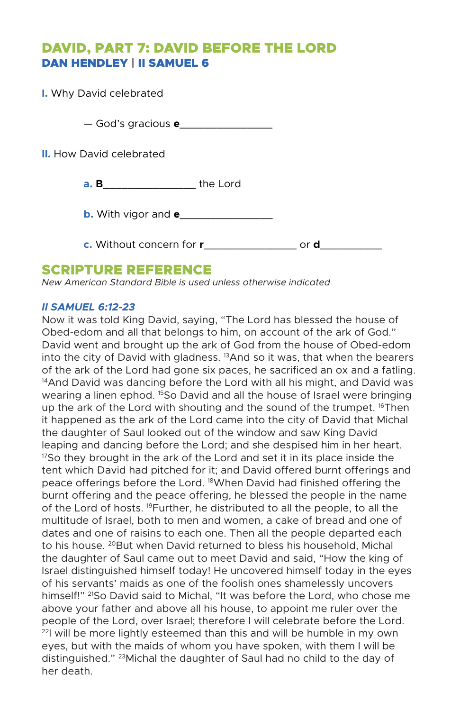# DAVID, PART 7: DAVID BEFORE THE LORD DAN HENDLEY | II SAMUEL 6

**I.** Why David celebrated — God's gracious **e**\_\_\_\_\_\_\_\_\_\_\_\_\_\_\_ **II.** How David celebrated **a. B**\_\_\_\_\_\_\_\_\_\_\_\_\_\_\_ the Lord **b.** With vigor and **e**\_\_\_\_\_\_\_\_\_\_\_\_\_\_\_ **c.** Without concern for **r**\_\_\_\_\_\_\_\_\_\_\_\_\_\_\_ or **d**\_\_\_\_\_\_\_\_\_\_

### SCRIPTURE REFERENCE

*New American Standard Bible is used unless otherwise indicated* 

#### *II SAMUEL 6:12-23*

Now it was told King David, saying, "The Lord has blessed the house of Obed-edom and all that belongs to him, on account of the ark of God." David went and brought up the ark of God from the house of Obed-edom into the city of David with gladness. 13And so it was, that when the bearers of the ark of the Lord had gone six paces, he sacrificed an ox and a fatling. <sup>14</sup> And David was dancing before the Lord with all his might, and David was wearing a linen ephod. <sup>15</sup>So David and all the house of Israel were bringing up the ark of the Lord with shouting and the sound of the trumpet. <sup>16</sup>Then it happened as the ark of the Lord came into the city of David that Michal the daughter of Saul looked out of the window and saw King David leaping and dancing before the Lord; and she despised him in her heart. <sup>17</sup>So they brought in the ark of the Lord and set it in its place inside the tent which David had pitched for it; and David offered burnt offerings and peace offerings before the Lord. 18When David had finished offering the burnt offering and the peace offering, he blessed the people in the name of the Lord of hosts. 19Further, he distributed to all the people, to all the multitude of Israel, both to men and women, a cake of bread and one of dates and one of raisins to each one. Then all the people departed each to his house. <sup>20</sup>But when David returned to bless his household, Michal the daughter of Saul came out to meet David and said, "How the king of Israel distinguished himself today! He uncovered himself today in the eyes of his servants' maids as one of the foolish ones shamelessly uncovers himself!" 21So David said to Michal, "It was before the Lord, who chose me above your father and above all his house, to appoint me ruler over the people of the Lord, over Israel; therefore I will celebrate before the Lord.  $22$  will be more lightly esteemed than this and will be humble in my own eyes, but with the maids of whom you have spoken, with them I will be distinguished." 23Michal the daughter of Saul had no child to the day of her death.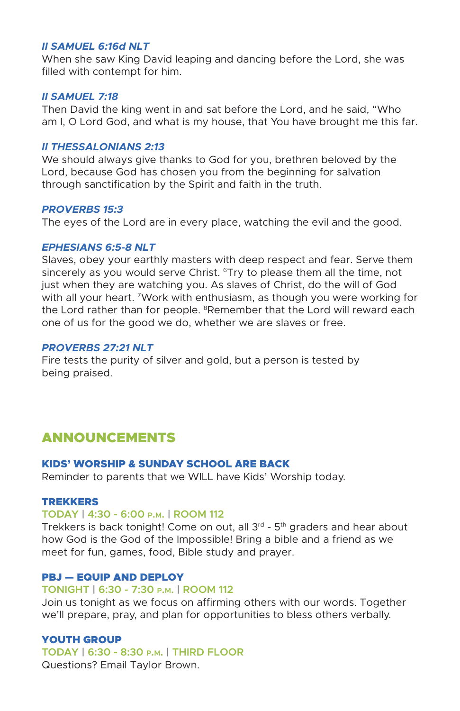#### *II SAMUEL 6:16d NLT*

When she saw King David leaping and dancing before the Lord, she was filled with contempt for him.

#### *II SAMUEL 7:18*

Then David the king went in and sat before the Lord, and he said, "Who am I, O Lord God, and what is my house, that You have brought me this far.

#### *II THESSALONIANS 2:13*

We should always give thanks to God for you, brethren beloved by the Lord, because God has chosen you from the beginning for salvation through sanctification by the Spirit and faith in the truth.

#### *PROVERBS 15:3*

The eyes of the Lord are in every place, watching the evil and the good.

#### *EPHESIANS 6:5-8 NLT*

Slaves, obey your earthly masters with deep respect and fear. Serve them sincerely as you would serve Christ. <sup>6</sup>Try to please them all the time, not just when they are watching you. As slaves of Christ, do the will of God with all your heart. 7Work with enthusiasm, as though you were working for the Lord rather than for people. <sup>8</sup>Remember that the Lord will reward each one of us for the good we do, whether we are slaves or free.

#### *PROVERBS 27:21 NLT*

Fire tests the purity of silver and gold, but a person is tested by being praised.

# ANNOUNCEMENTS

#### KIDS' WORSHIP & SUNDAY SCHOOL ARE BACK

Reminder to parents that we WILL have Kids' Worship today.

#### TREKKERS

#### **TODAY | 4:30 - 6:00 p.m. | ROOM 112**

Trekkers is back tonight! Come on out, all  $3<sup>rd</sup>$  -  $5<sup>th</sup>$  graders and hear about how God is the God of the Impossible! Bring a bible and a friend as we meet for fun, games, food, Bible study and prayer.

#### PBJ — EQUIP AND DEPLOY

#### **TONIGHT | 6:30 - 7:30 p.m. | ROOM 112**

Join us tonight as we focus on affirming others with our words. Together we'll prepare, pray, and plan for opportunities to bless others verbally.

#### YOUTH GROUP

**TODAY | 6:30 - 8:30 p.m. | THIRD FLOOR**

Questions? Email Taylor Brown.